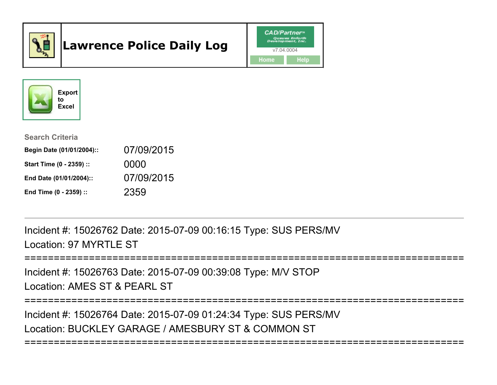

# Lawrence Police Daily Log





#### Search Criteria

| Begin Date (01/01/2004):: | 07/09/2015 |
|---------------------------|------------|
| Start Time (0 - 2359) ::  | 0000       |
| End Date (01/01/2004)::   | 07/09/2015 |
| End Time (0 - 2359) ::    | 2359       |

Incident #: 15026762 Date: 2015-07-09 00:16:15 Type: SUS PERS/MVLocation: 97 MYRTLE ST

```
===========================================================================
```
Incident #: 15026763 Date: 2015-07-09 00:39:08 Type: M/V STOPLocation: AMES ST & PEARL ST

===========================================================================

===========================================================================

Incident #: 15026764 Date: 2015-07-09 01:24:34 Type: SUS PERS/MVLocation: BUCKLEY GARAGE / AMESBURY ST & COMMON ST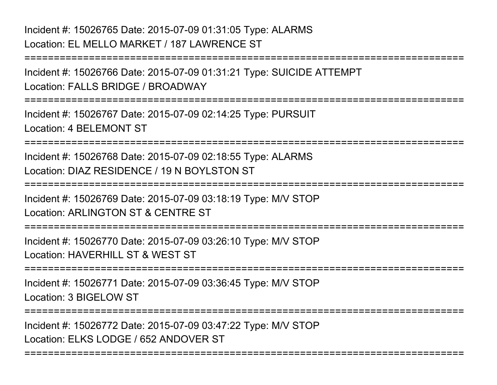## Incident #: 15026765 Date: 2015-07-09 01:31:05 Type: ALARMSLocation: EL MELLO MARKET / 187 LAWRENCE ST

Incident #: 15026766 Date: 2015-07-09 01:31:21 Type: SUICIDE ATTEMPTLocation: FALLS BRIDGE / BROADWAY

===========================================================================

===========================================================================

Incident #: 15026767 Date: 2015-07-09 02:14:25 Type: PURSUITLocation: 4 BELEMONT ST

===========================================================================

Incident #: 15026768 Date: 2015-07-09 02:18:55 Type: ALARMSLocation: DIAZ RESIDENCE / 19 N BOYLSTON ST

===========================================================================

Incident #: 15026769 Date: 2015-07-09 03:18:19 Type: M/V STOPLocation: ARLINGTON ST & CENTRE ST

===========================================================================

Incident #: 15026770 Date: 2015-07-09 03:26:10 Type: M/V STOPLocation: HAVERHILL ST & WEST ST

===========================================================================

Incident #: 15026771 Date: 2015-07-09 03:36:45 Type: M/V STOPLocation: 3 BIGELOW ST

===========================================================================

===========================================================================

Incident #: 15026772 Date: 2015-07-09 03:47:22 Type: M/V STOPLocation: FLKS LODGE / 652 ANDOVER ST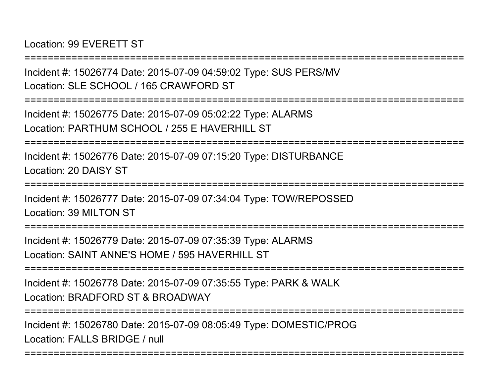Location: 99 EVERETT ST

===========================================================================Incident #: 15026774 Date: 2015-07-09 04:59:02 Type: SUS PERS/MVLocation: SLE SCHOOL / 165 CRAWFORD ST===========================================================================Incident #: 15026775 Date: 2015-07-09 05:02:22 Type: ALARMSLocation: PARTHUM SCHOOL / 255 E HAVERHILL ST===========================================================================Incident #: 15026776 Date: 2015-07-09 07:15:20 Type: DISTURBANCELocation: 20 DAISY ST===========================================================================Incident #: 15026777 Date: 2015-07-09 07:34:04 Type: TOW/REPOSSEDLocation: 39 MILTON ST===========================================================================Incident #: 15026779 Date: 2015-07-09 07:35:39 Type: ALARMSLocation: SAINT ANNE'S HOME / 595 HAVERHILL ST ===========================================================================Incident #: 15026778 Date: 2015-07-09 07:35:55 Type: PARK & WALKLocation: BRADFORD ST & BROADWAY===========================================================================Incident #: 15026780 Date: 2015-07-09 08:05:49 Type: DOMESTIC/PROGLocation: FALLS BRIDGE / null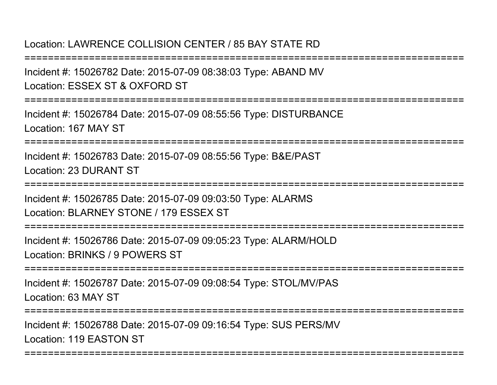### Location: LAWRENCE COLLISION CENTER / 85 BAY STATE RD

===========================================================================Incident #: 15026782 Date: 2015-07-09 08:38:03 Type: ABAND MVLocation: ESSEX ST & OXFORD ST===========================================================================Incident #: 15026784 Date: 2015-07-09 08:55:56 Type: DISTURBANCELocation: 167 MAY ST===========================================================================Incident #: 15026783 Date: 2015-07-09 08:55:56 Type: B&E/PASTLocation: 23 DURANT ST================= Incident #: 15026785 Date: 2015-07-09 09:03:50 Type: ALARMSLocation: BLARNEY STONE / 179 ESSEX ST===========================================================================Incident #: 15026786 Date: 2015-07-09 09:05:23 Type: ALARM/HOLDLocation: BRINKS / 9 POWERS ST===========================================================================Incident #: 15026787 Date: 2015-07-09 09:08:54 Type: STOL/MV/PASLocation: 63 MAY ST===========================================================================Incident #: 15026788 Date: 2015-07-09 09:16:54 Type: SUS PERS/MVLocation: 119 EASTON ST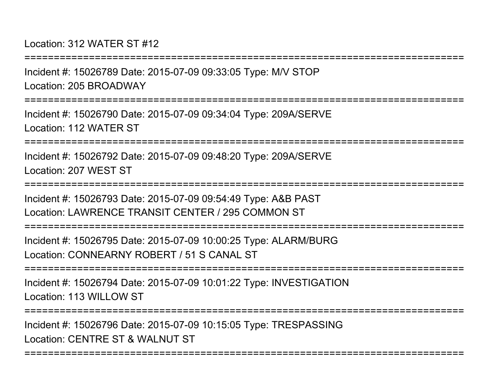Location: 312 WATER ST #12

===========================================================================Incident #: 15026789 Date: 2015-07-09 09:33:05 Type: M/V STOPLocation: 205 BROADWAY===========================================================================Incident #: 15026790 Date: 2015-07-09 09:34:04 Type: 209A/SERVELocation: 112 WATER ST===========================================================================Incident #: 15026792 Date: 2015-07-09 09:48:20 Type: 209A/SERVELocation: 207 WEST ST===========================================================================Incident #: 15026793 Date: 2015-07-09 09:54:49 Type: A&B PASTLocation: LAWRENCE TRANSIT CENTER / 295 COMMON ST===========================================================================Incident #: 15026795 Date: 2015-07-09 10:00:25 Type: ALARM/BURGLocation: CONNEARNY ROBERT / 51 S CANAL ST===========================================================================Incident #: 15026794 Date: 2015-07-09 10:01:22 Type: INVESTIGATIONLocation: 113 WILLOW ST===========================================================================Incident #: 15026796 Date: 2015-07-09 10:15:05 Type: TRESPASSINGLocation: CENTRE ST & WALNUT ST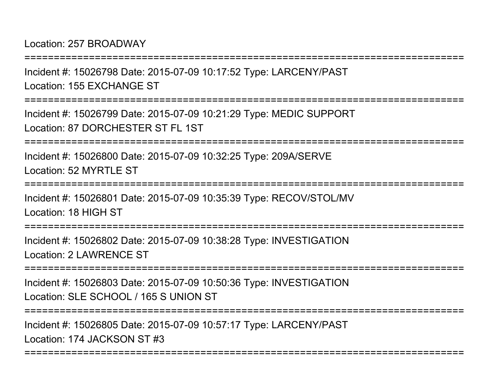Location: 257 BROADWAY

===========================================================================Incident #: 15026798 Date: 2015-07-09 10:17:52 Type: LARCENY/PASTLocation: 155 EXCHANGE ST===========================================================================Incident #: 15026799 Date: 2015-07-09 10:21:29 Type: MEDIC SUPPORTLocation: 87 DORCHESTER ST FL 1ST===========================================================================Incident #: 15026800 Date: 2015-07-09 10:32:25 Type: 209A/SERVELocation: 52 MYRTLE ST ================= Incident #: 15026801 Date: 2015-07-09 10:35:39 Type: RECOV/STOL/MVLocation: 18 HIGH ST===========================================================================Incident #: 15026802 Date: 2015-07-09 10:38:28 Type: INVESTIGATIONLocation: 2 LAWRENCE ST===========================================================================Incident #: 15026803 Date: 2015-07-09 10:50:36 Type: INVESTIGATIONLocation: SLE SCHOOL / 165 S UNION ST===========================================================================Incident #: 15026805 Date: 2015-07-09 10:57:17 Type: LARCENY/PASTLocation: 174 JACKSON ST #3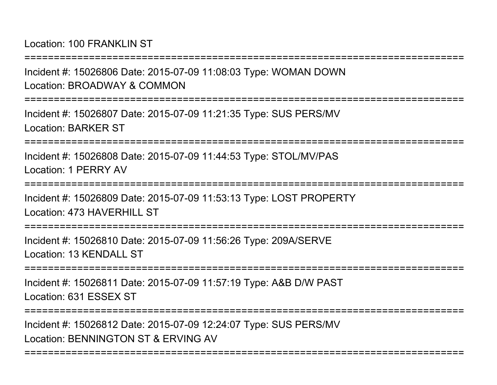Location: 100 FRANKLIN ST

===========================================================================Incident #: 15026806 Date: 2015-07-09 11:08:03 Type: WOMAN DOWNLocation: BROADWAY & COMMON===========================================================================Incident #: 15026807 Date: 2015-07-09 11:21:35 Type: SUS PERS/MVLocation: BARKER ST===========================================================================Incident #: 15026808 Date: 2015-07-09 11:44:53 Type: STOL/MV/PASLocation: 1 PERRY AV=================== Incident #: 15026809 Date: 2015-07-09 11:53:13 Type: LOST PROPERTYLocation: 473 HAVERHILL ST ===========================================================================Incident #: 15026810 Date: 2015-07-09 11:56:26 Type: 209A/SERVELocation: 13 KENDALL ST===========================================================================Incident #: 15026811 Date: 2015-07-09 11:57:19 Type: A&B D/W PASTLocation: 631 ESSEX ST===========================================================================

===========================================================================

Incident #: 15026812 Date: 2015-07-09 12:24:07 Type: SUS PERS/MVLocation: BENNINGTON ST & ERVING AV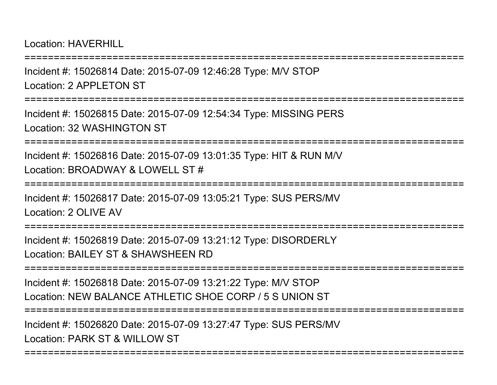Location: HAVERHILL

===========================================================================Incident #: 15026814 Date: 2015-07-09 12:46:28 Type: M/V STOPLocation: 2 APPL FTON ST ===========================================================================Incident #: 15026815 Date: 2015-07-09 12:54:34 Type: MISSING PERSLocation: 32 WASHINGTON ST===========================================================================Incident #: 15026816 Date: 2015-07-09 13:01:35 Type: HIT & RUN M/VLocation: BROADWAY & LOWELL ST #**=============** Incident #: 15026817 Date: 2015-07-09 13:05:21 Type: SUS PERS/MVLocation: 2 OLIVE AV===========================================================================Incident #: 15026819 Date: 2015-07-09 13:21:12 Type: DISORDERLYLocation: BAILEY ST & SHAWSHEEN RD===========================================================================Incident #: 15026818 Date: 2015-07-09 13:21:22 Type: M/V STOP Location: NEW BALANCE ATHLETIC SHOE CORP / 5 S UNION ST===========================================================================

===========================================================================

Incident #: 15026820 Date: 2015-07-09 13:27:47 Type: SUS PERS/MVLocation: PARK ST & WILLOW ST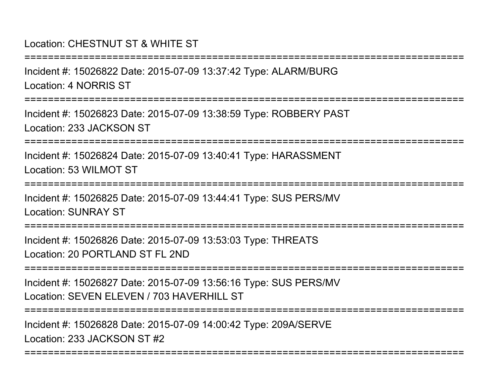### Location: CHESTNUT ST & WHITE ST

Incident #: 15026822 Date: 2015-07-09 13:37:42 Type: ALARM/BURGLocation: 4 NORRIS ST

===========================================================================

===========================================================================

Incident #: 15026823 Date: 2015-07-09 13:38:59 Type: ROBBERY PASTLocation: 233 JACKSON ST

===========================================================================

Incident #: 15026824 Date: 2015-07-09 13:40:41 Type: HARASSMENTLocation: 53 WILMOT ST

===========================================================================

Incident #: 15026825 Date: 2015-07-09 13:44:41 Type: SUS PERS/MVLocation: SUNRAY ST

===========================================================================

Incident #: 15026826 Date: 2015-07-09 13:53:03 Type: THREATSLocation: 20 PORTLAND ST FL 2ND

===========================================================================

Incident #: 15026827 Date: 2015-07-09 13:56:16 Type: SUS PERS/MVLocation: SEVEN ELEVEN / 703 HAVERHILL ST

===========================================================================

Incident #: 15026828 Date: 2015-07-09 14:00:42 Type: 209A/SERVELocation: 233 JACKSON ST #2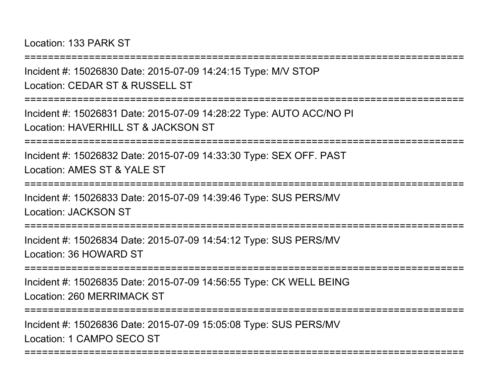Location: 133 PARK ST

===========================================================================

Incident #: 15026830 Date: 2015-07-09 14:24:15 Type: M/V STOPLocation: CEDAR ST & RUSSELL ST

===========================================================================

Incident #: 15026831 Date: 2015-07-09 14:28:22 Type: AUTO ACC/NO PILocation: HAVERHILL ST & JACKSON ST

===========================================================================

Incident #: 15026832 Date: 2015-07-09 14:33:30 Type: SEX OFF. PASTLocation: AMES ST & YALE ST

=================

Incident #: 15026833 Date: 2015-07-09 14:39:46 Type: SUS PERS/MVLocation: JACKSON ST

===========================================================================

Incident #: 15026834 Date: 2015-07-09 14:54:12 Type: SUS PERS/MVLocation: 36 HOWARD ST

===========================================================================

Incident #: 15026835 Date: 2015-07-09 14:56:55 Type: CK WELL BEINGLocation: 260 MERRIMACK ST

===========================================================================

===========================================================================

Incident #: 15026836 Date: 2015-07-09 15:05:08 Type: SUS PERS/MVLocation: 1 CAMPO SECO ST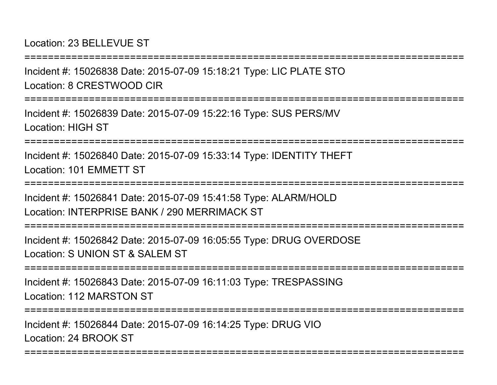Location: 23 BELLEVUE ST

Incident #: 15026838 Date: 2015-07-09 15:18:21 Type: LIC PLATE STOLocation: 8 CRESTWOOD CIR

===========================================================================

===========================================================================

Incident #: 15026839 Date: 2015-07-09 15:22:16 Type: SUS PERS/MVLocation: HIGH ST

===========================================================================

Incident #: 15026840 Date: 2015-07-09 15:33:14 Type: IDENTITY THEFTLocation: 101 EMMETT ST

===========================================================================

Incident #: 15026841 Date: 2015-07-09 15:41:58 Type: ALARM/HOLDLocation: INTERPRISE BANK / 290 MERRIMACK ST

===========================================================================

Incident #: 15026842 Date: 2015-07-09 16:05:55 Type: DRUG OVERDOSELocation: S UNION ST & SALEM ST

===========================================================================

Incident #: 15026843 Date: 2015-07-09 16:11:03 Type: TRESPASSINGLocation: 112 MARSTON ST

===========================================================================

===========================================================================

Incident #: 15026844 Date: 2015-07-09 16:14:25 Type: DRUG VIOLocation: 24 BROOK ST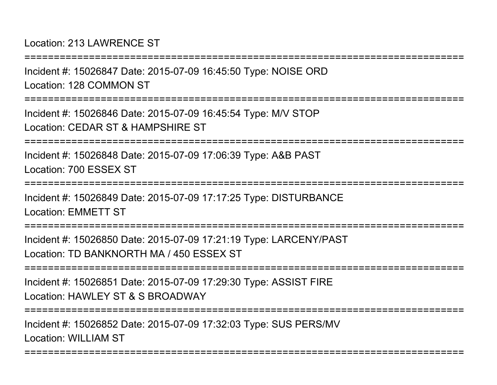Location: 213 LAWRENCE ST

===========================================================================Incident #: 15026847 Date: 2015-07-09 16:45:50 Type: NOISE ORDLocation: 128 COMMON ST===========================================================================Incident #: 15026846 Date: 2015-07-09 16:45:54 Type: M/V STOPLocation: CEDAR ST & HAMPSHIRE ST===========================================================================Incident #: 15026848 Date: 2015-07-09 17:06:39 Type: A&B PASTLocation: 700 ESSEX ST===========================================================================Incident #: 15026849 Date: 2015-07-09 17:17:25 Type: DISTURBANCELocation: EMMETT ST===========================================================================Incident #: 15026850 Date: 2015-07-09 17:21:19 Type: LARCENY/PASTLocation: TD BANKNORTH MA / 450 ESSEX ST===========================================================================Incident #: 15026851 Date: 2015-07-09 17:29:30 Type: ASSIST FIRELocation: HAWLEY ST & S BROADWAY===========================================================================Incident #: 15026852 Date: 2015-07-09 17:32:03 Type: SUS PERS/MVLocation: WILLIAM ST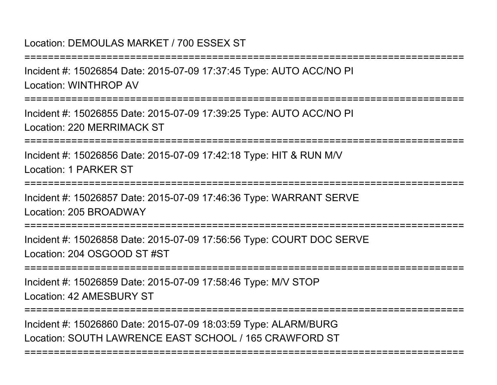#### Location: DEMOULAS MARKET / 700 ESSEX ST

===========================================================================Incident #: 15026854 Date: 2015-07-09 17:37:45 Type: AUTO ACC/NO PI

Location: WINTHROP AV

===========================================================================

Incident #: 15026855 Date: 2015-07-09 17:39:25 Type: AUTO ACC/NO PILocation: 220 MERRIMACK ST

===========================================================================

Incident #: 15026856 Date: 2015-07-09 17:42:18 Type: HIT & RUN M/VLocation: 1 PARKER ST

===========================================================================

Incident #: 15026857 Date: 2015-07-09 17:46:36 Type: WARRANT SERVELocation: 205 BROADWAY

==================

Incident #: 15026858 Date: 2015-07-09 17:56:56 Type: COURT DOC SERVELocation: 204 OSGOOD ST #ST

===========================================================================

Incident #: 15026859 Date: 2015-07-09 17:58:46 Type: M/V STOPLocation: 42 AMESBURY ST

===========================================================================

===========================================================================

Incident #: 15026860 Date: 2015-07-09 18:03:59 Type: ALARM/BURGLocation: SOUTH LAWRENCE EAST SCHOOL / 165 CRAWFORD ST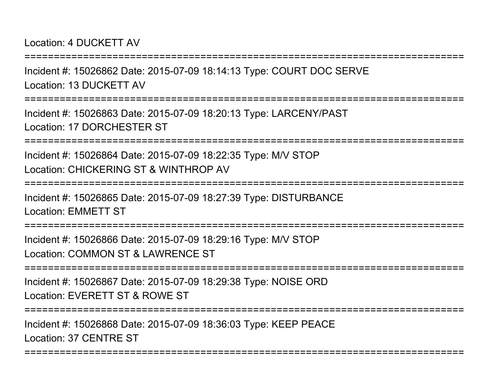Location: 4 DUCKETT AV

Incident #: 15026862 Date: 2015-07-09 18:14:13 Type: COURT DOC SERVELocation: 13 DUCKETT AV

===========================================================================

===========================================================================

Incident #: 15026863 Date: 2015-07-09 18:20:13 Type: LARCENY/PASTLocation: 17 DORCHESTER ST

===========================================================================

Incident #: 15026864 Date: 2015-07-09 18:22:35 Type: M/V STOPLocation: CHICKERING ST & WINTHROP AV

===========================================================================

Incident #: 15026865 Date: 2015-07-09 18:27:39 Type: DISTURBANCELocation: EMMETT ST

===============

Incident #: 15026866 Date: 2015-07-09 18:29:16 Type: M/V STOPLocation: COMMON ST & LAWRENCE ST

===========================================================================

Incident #: 15026867 Date: 2015-07-09 18:29:38 Type: NOISE ORDLocation: EVERETT ST & ROWE ST

===========================================================================

===========================================================================

Incident #: 15026868 Date: 2015-07-09 18:36:03 Type: KEEP PEACELocation: 37 CENTRE ST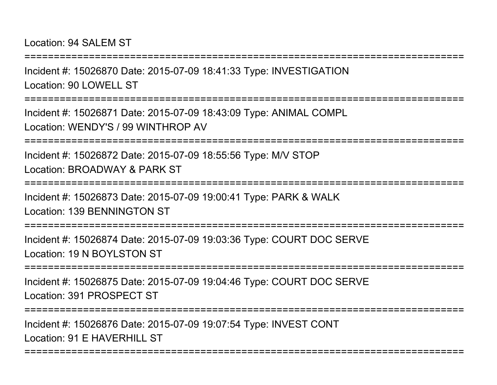Location: 94 SALEM ST

Incident #: 15026870 Date: 2015-07-09 18:41:33 Type: INVESTIGATIONLocation: 90 LOWELL ST

===========================================================================

===========================================================================

Incident #: 15026871 Date: 2015-07-09 18:43:09 Type: ANIMAL COMPLLocation: WENDY'S / 99 WINTHROP AV

===========================================================================

Incident #: 15026872 Date: 2015-07-09 18:55:56 Type: M/V STOPLocation: BROADWAY & PARK ST

===========================================================================

Incident #: 15026873 Date: 2015-07-09 19:00:41 Type: PARK & WALKLocation: 139 BENNINGTON ST

===========================================================================

Incident #: 15026874 Date: 2015-07-09 19:03:36 Type: COURT DOC SERVELocation: 19 N BOYLSTON ST

===========================================================================

Incident #: 15026875 Date: 2015-07-09 19:04:46 Type: COURT DOC SERVELocation: 391 PROSPECT ST

```
===========================================================================
```
===========================================================================

Incident #: 15026876 Date: 2015-07-09 19:07:54 Type: INVEST CONTLocation: 91 F HAVERHILL ST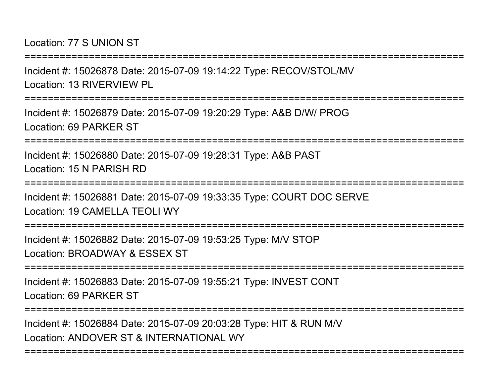Location: 77 S UNION ST

===========================================================================

Incident #: 15026878 Date: 2015-07-09 19:14:22 Type: RECOV/STOL/MVLocation: 13 RIVERVIEW PL

===========================================================================

Incident #: 15026879 Date: 2015-07-09 19:20:29 Type: A&B D/W/ PROGLocation: 69 PARKER ST

===========================================================================

Incident #: 15026880 Date: 2015-07-09 19:28:31 Type: A&B PASTLocation: 15 N PARISH RD

===========================================================================

Incident #: 15026881 Date: 2015-07-09 19:33:35 Type: COURT DOC SERVELocation: 19 CAMELLA TEOLI WY

===========================================================================

Incident #: 15026882 Date: 2015-07-09 19:53:25 Type: M/V STOPLocation: BROADWAY & ESSEX ST

===========================================================================

Incident #: 15026883 Date: 2015-07-09 19:55:21 Type: INVEST CONTLocation: 69 PARKER ST

===========================================================================

===========================================================================

Incident #: 15026884 Date: 2015-07-09 20:03:28 Type: HIT & RUN M/VLocation: ANDOVER ST & INTERNATIONAL WY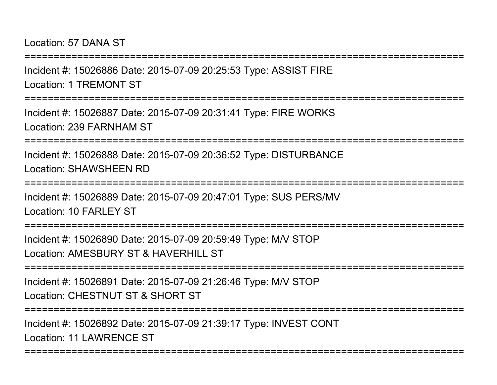Location: 57 DANA ST

===========================================================================Incident #: 15026886 Date: 2015-07-09 20:25:53 Type: ASSIST FIRELocation: 1 TREMONT ST===========================================================================Incident #: 15026887 Date: 2015-07-09 20:31:41 Type: FIRE WORKSLocation: 239 FARNHAM ST===========================================================================Incident #: 15026888 Date: 2015-07-09 20:36:52 Type: DISTURBANCELocation: SHAWSHEEN RD===========================================================================Incident #: 15026889 Date: 2015-07-09 20:47:01 Type: SUS PERS/MVLocation: 10 FARL FY ST ===========================================================================Incident #: 15026890 Date: 2015-07-09 20:59:49 Type: M/V STOPLocation: AMESBURY ST & HAVERHILL ST===========================================================================Incident #: 15026891 Date: 2015-07-09 21:26:46 Type: M/V STOPLocation: CHESTNUT ST & SHORT ST===========================================================================

===========================================================================

Incident #: 15026892 Date: 2015-07-09 21:39:17 Type: INVEST CONTLocation: 11 LAWRENCE ST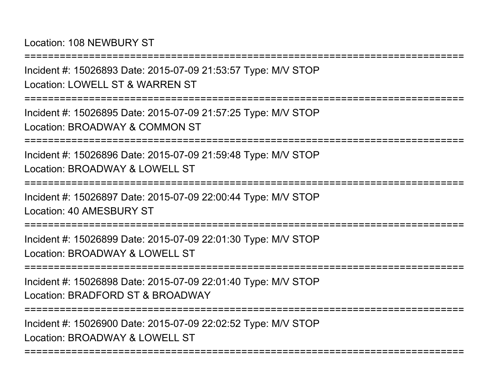Location: 108 NEWBURY ST

===========================================================================Incident #: 15026893 Date: 2015-07-09 21:53:57 Type: M/V STOPLocation: LOWELL ST & WARREN ST===========================================================================Incident #: 15026895 Date: 2015-07-09 21:57:25 Type: M/V STOPLocation: BROADWAY & COMMON ST===========================================================================Incident #: 15026896 Date: 2015-07-09 21:59:48 Type: M/V STOPLocation: BROADWAY & LOWELL ST ===========================================================================Incident #: 15026897 Date: 2015-07-09 22:00:44 Type: M/V STOPLocation: 40 AMESBURY ST===========================================================================Incident #: 15026899 Date: 2015-07-09 22:01:30 Type: M/V STOPLocation: BROADWAY & LOWELL ST===========================================================================Incident #: 15026898 Date: 2015-07-09 22:01:40 Type: M/V STOPLocation: BRADFORD ST & BROADWAY===========================================================================Incident #: 15026900 Date: 2015-07-09 22:02:52 Type: M/V STOPLocation: BROADWAY & LOWELL ST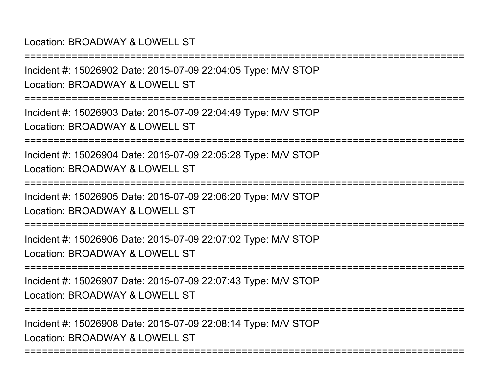#### Location: BROADWAY & LOWELL ST

Incident #: 15026902 Date: 2015-07-09 22:04:05 Type: M/V STOPLocation: BROADWAY & LOWELL ST

===========================================================================

===========================================================================

Incident #: 15026903 Date: 2015-07-09 22:04:49 Type: M/V STOPLocation: BROADWAY & LOWELL ST

===========================================================================

Incident #: 15026904 Date: 2015-07-09 22:05:28 Type: M/V STOPLocation: BROADWAY & LOWELL ST

===========================================================================

Incident #: 15026905 Date: 2015-07-09 22:06:20 Type: M/V STOP

Location: BROADWAY & LOWELL ST

===========================================================================

Incident #: 15026906 Date: 2015-07-09 22:07:02 Type: M/V STOPLocation: BROADWAY & LOWELL ST

===========================================================================

Incident #: 15026907 Date: 2015-07-09 22:07:43 Type: M/V STOPLocation: BROADWAY & LOWELL ST

===========================================================================

===========================================================================

Incident #: 15026908 Date: 2015-07-09 22:08:14 Type: M/V STOPLocation: BROADWAY & LOWELL ST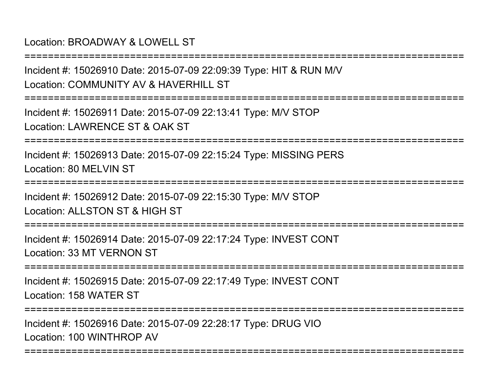#### Location: BROADWAY & LOWELL ST

Incident #: 15026910 Date: 2015-07-09 22:09:39 Type: HIT & RUN M/VLocation: COMMUNITY AV & HAVERHILL ST

===========================================================================

===========================================================================

Incident #: 15026911 Date: 2015-07-09 22:13:41 Type: M/V STOPLocation: LAWRENCE ST & OAK ST

===========================================================================

Incident #: 15026913 Date: 2015-07-09 22:15:24 Type: MISSING PERSLocation: 80 MELVIN ST

===========================================================================

Incident #: 15026912 Date: 2015-07-09 22:15:30 Type: M/V STOPLocation: ALLSTON ST & HIGH ST

**===============** 

Incident #: 15026914 Date: 2015-07-09 22:17:24 Type: INVEST CONTLocation: 33 MT VERNON ST

===========================================================================

Incident #: 15026915 Date: 2015-07-09 22:17:49 Type: INVEST CONTLocation: 158 WATER ST

===========================================================================

Incident #: 15026916 Date: 2015-07-09 22:28:17 Type: DRUG VIOLocation: 100 WINTHROP AV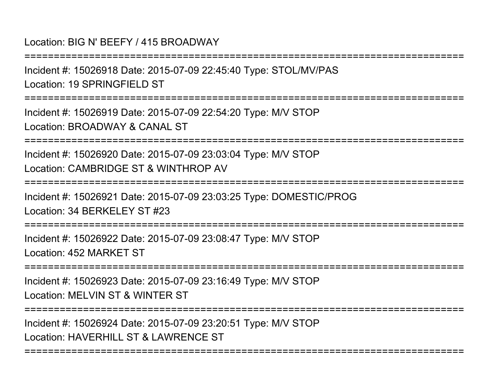#### Location: BIG N' BEEFY / 415 BROADWAY

Incident #: 15026918 Date: 2015-07-09 22:45:40 Type: STOL/MV/PASLocation: 19 SPRINGFIFLD ST

===========================================================================

===========================================================================

Incident #: 15026919 Date: 2015-07-09 22:54:20 Type: M/V STOPLocation: BROADWAY & CANAL ST

===========================================================================

Incident #: 15026920 Date: 2015-07-09 23:03:04 Type: M/V STOPLocation: CAMBRIDGE ST & WINTHROP AV

===========================================================================

Incident #: 15026921 Date: 2015-07-09 23:03:25 Type: DOMESTIC/PROGLocation: 34 BERKELEY ST #23

=============

Incident #: 15026922 Date: 2015-07-09 23:08:47 Type: M/V STOPLocation: 452 MARKET ST

===========================================================================

Incident #: 15026923 Date: 2015-07-09 23:16:49 Type: M/V STOPLocation: MELVIN ST & WINTER ST

===========================================================================

===========================================================================

Incident #: 15026924 Date: 2015-07-09 23:20:51 Type: M/V STOPLocation: HAVERHILL ST & LAWRENCE ST